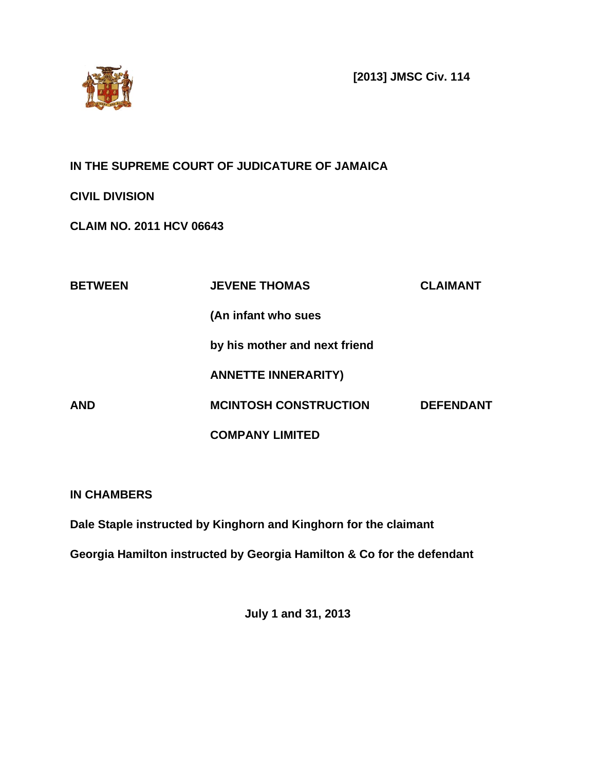

**[2013] JMSC Civ. 114**

# **IN THE SUPREME COURT OF JUDICATURE OF JAMAICA**

**CIVIL DIVISION**

**CLAIM NO. 2011 HCV 06643**

| <b>BETWEEN</b> | <b>JEVENE THOMAS</b>          | <b>CLAIMANT</b>  |
|----------------|-------------------------------|------------------|
|                | (An infant who sues           |                  |
|                | by his mother and next friend |                  |
|                | <b>ANNETTE INNERARITY)</b>    |                  |
| <b>AND</b>     | <b>MCINTOSH CONSTRUCTION</b>  | <b>DEFENDANT</b> |
|                | <b>COMPANY LIMITED</b>        |                  |

**IN CHAMBERS**

**Dale Staple instructed by Kinghorn and Kinghorn for the claimant**

**Georgia Hamilton instructed by Georgia Hamilton & Co for the defendant**

**July 1 and 31, 2013**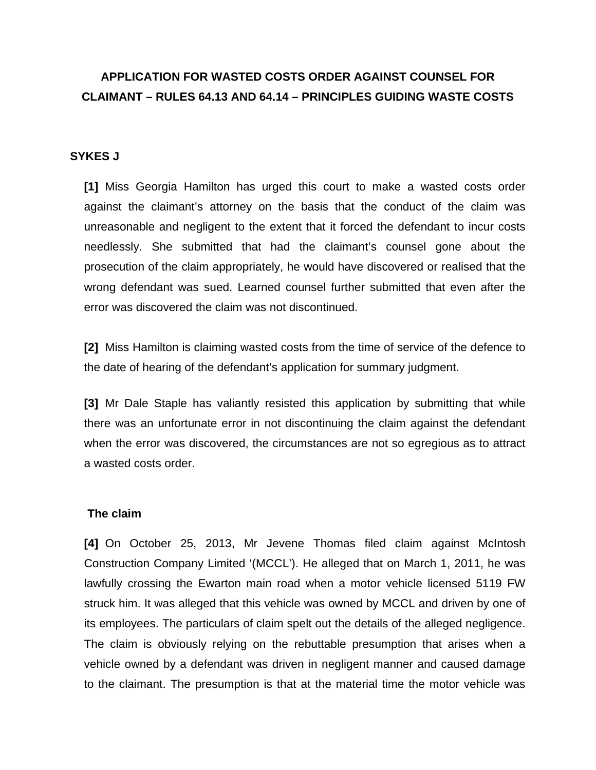# **APPLICATION FOR WASTED COSTS ORDER AGAINST COUNSEL FOR CLAIMANT – RULES 64.13 AND 64.14 – PRINCIPLES GUIDING WASTE COSTS**

# **SYKES J**

**[1]** Miss Georgia Hamilton has urged this court to make a wasted costs order against the claimant's attorney on the basis that the conduct of the claim was unreasonable and negligent to the extent that it forced the defendant to incur costs needlessly. She submitted that had the claimant's counsel gone about the prosecution of the claim appropriately, he would have discovered or realised that the wrong defendant was sued. Learned counsel further submitted that even after the error was discovered the claim was not discontinued.

**[2]** Miss Hamilton is claiming wasted costs from the time of service of the defence to the date of hearing of the defendant's application for summary judgment.

**[3]** Mr Dale Staple has valiantly resisted this application by submitting that while there was an unfortunate error in not discontinuing the claim against the defendant when the error was discovered, the circumstances are not so egregious as to attract a wasted costs order.

#### **The claim**

**[4]** On October 25, 2013, Mr Jevene Thomas filed claim against McIntosh Construction Company Limited '(MCCL'). He alleged that on March 1, 2011, he was lawfully crossing the Ewarton main road when a motor vehicle licensed 5119 FW struck him. It was alleged that this vehicle was owned by MCCL and driven by one of its employees. The particulars of claim spelt out the details of the alleged negligence. The claim is obviously relying on the rebuttable presumption that arises when a vehicle owned by a defendant was driven in negligent manner and caused damage to the claimant. The presumption is that at the material time the motor vehicle was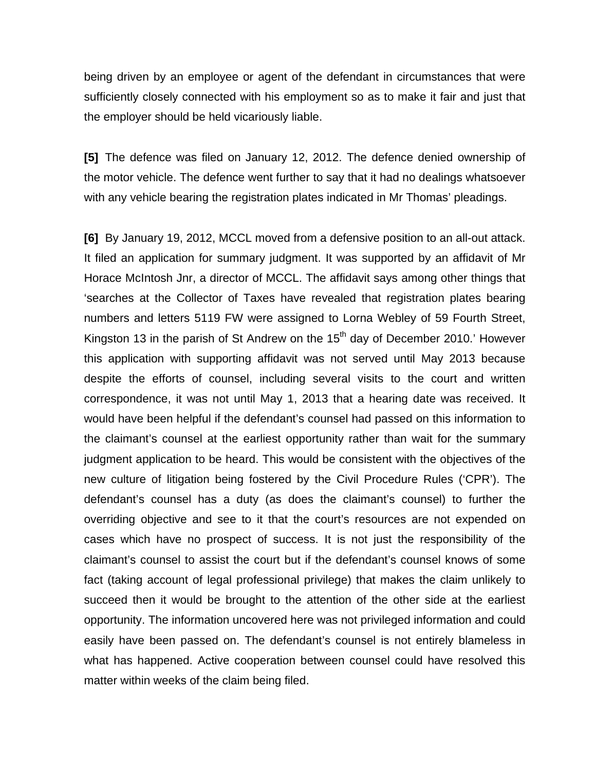being driven by an employee or agent of the defendant in circumstances that were sufficiently closely connected with his employment so as to make it fair and just that the employer should be held vicariously liable.

**[5]** The defence was filed on January 12, 2012. The defence denied ownership of the motor vehicle. The defence went further to say that it had no dealings whatsoever with any vehicle bearing the registration plates indicated in Mr Thomas' pleadings.

**[6]** By January 19, 2012, MCCL moved from a defensive position to an all-out attack. It filed an application for summary judgment. It was supported by an affidavit of Mr Horace McIntosh Jnr, a director of MCCL. The affidavit says among other things that 'searches at the Collector of Taxes have revealed that registration plates bearing numbers and letters 5119 FW were assigned to Lorna Webley of 59 Fourth Street, Kingston 13 in the parish of St Andrew on the  $15<sup>th</sup>$  day of December 2010.' However this application with supporting affidavit was not served until May 2013 because despite the efforts of counsel, including several visits to the court and written correspondence, it was not until May 1, 2013 that a hearing date was received. It would have been helpful if the defendant's counsel had passed on this information to the claimant's counsel at the earliest opportunity rather than wait for the summary judgment application to be heard. This would be consistent with the objectives of the new culture of litigation being fostered by the Civil Procedure Rules ('CPR'). The defendant's counsel has a duty (as does the claimant's counsel) to further the overriding objective and see to it that the court's resources are not expended on cases which have no prospect of success. It is not just the responsibility of the claimant's counsel to assist the court but if the defendant's counsel knows of some fact (taking account of legal professional privilege) that makes the claim unlikely to succeed then it would be brought to the attention of the other side at the earliest opportunity. The information uncovered here was not privileged information and could easily have been passed on. The defendant's counsel is not entirely blameless in what has happened. Active cooperation between counsel could have resolved this matter within weeks of the claim being filed.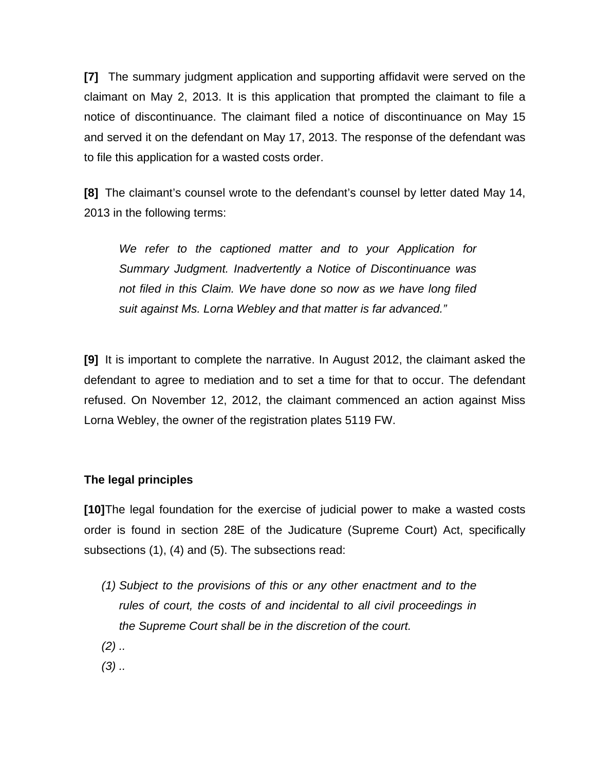**[7]** The summary judgment application and supporting affidavit were served on the claimant on May 2, 2013. It is this application that prompted the claimant to file a notice of discontinuance. The claimant filed a notice of discontinuance on May 15 and served it on the defendant on May 17, 2013. The response of the defendant was to file this application for a wasted costs order.

**[8]** The claimant's counsel wrote to the defendant's counsel by letter dated May 14, 2013 in the following terms:

*We refer to the captioned matter and to your Application for Summary Judgment. Inadvertently a Notice of Discontinuance was not filed in this Claim. We have done so now as we have long filed suit against Ms. Lorna Webley and that matter is far advanced."*

**[9]** It is important to complete the narrative. In August 2012, the claimant asked the defendant to agree to mediation and to set a time for that to occur. The defendant refused. On November 12, 2012, the claimant commenced an action against Miss Lorna Webley, the owner of the registration plates 5119 FW.

# **The legal principles**

**[10]**The legal foundation for the exercise of judicial power to make a wasted costs order is found in section 28E of the Judicature (Supreme Court) Act, specifically subsections (1), (4) and (5). The subsections read:

- *(1) Subject to the provisions of this or any other enactment and to the rules of court, the costs of and incidental to all civil proceedings in the Supreme Court shall be in the discretion of the court.*
- *(2) ..*
- *(3) ..*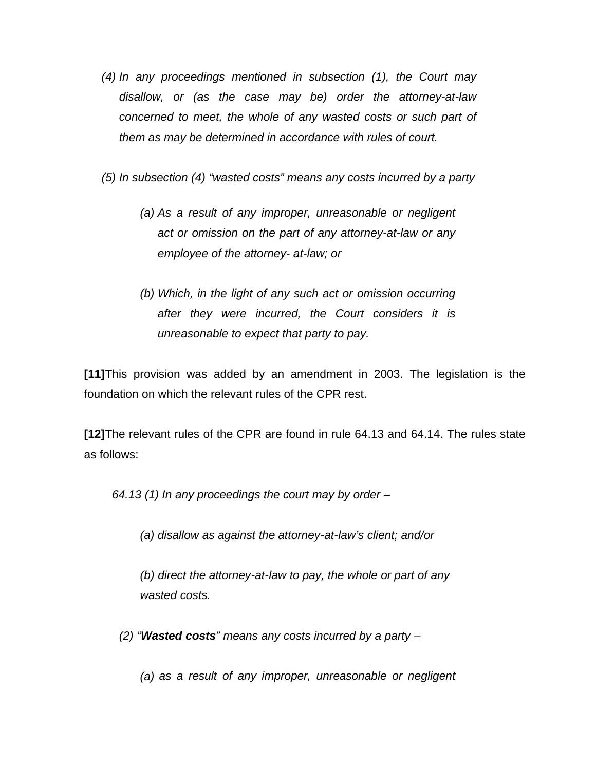- *(4) In any proceedings mentioned in subsection (1), the Court may disallow, or (as the case may be) order the attorney-at-law concerned to meet, the whole of any wasted costs or such part of them as may be determined in accordance with rules of court.*
- *(5) In subsection (4) "wasted costs" means any costs incurred by a party*
	- *(a) As a result of any improper, unreasonable or negligent act or omission on the part of any attorney-at-law or any employee of the attorney- at-law; or*
	- *(b) Which, in the light of any such act or omission occurring after they were incurred, the Court considers it is unreasonable to expect that party to pay.*

**[11]**This provision was added by an amendment in 2003. The legislation is the foundation on which the relevant rules of the CPR rest.

**[12]**The relevant rules of the CPR are found in rule 64.13 and 64.14. The rules state as follows:

*64.13 (1) In any proceedings the court may by order –*

- *(a) disallow as against the attorney-at-law's client; and/or*
- *(b) direct the attorney-at-law to pay, the whole or part of any wasted costs.*
- *(2) "Wasted costs" means any costs incurred by a party –*
	- *(a) as a result of any improper, unreasonable or negligent*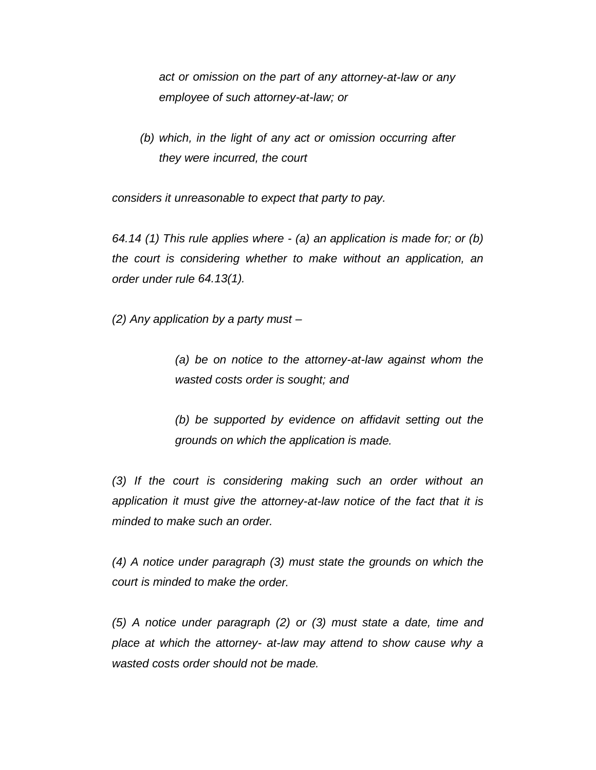*act or omission on the part of any attorney-at-law or any employee of such attorney-at-law; or*

*(b) which, in the light of any act or omission occurring after they were incurred, the court*

*considers it unreasonable to expect that party to pay.*

*64.14 (1) This rule applies where - (a) an application is made for; or (b) the court is considering whether to make without an application, an order under rule 64.13(1).*

*(2) Any application by a party must –*

*(a) be on notice to the attorney-at-law against whom the wasted costs order is sought; and*

*(b) be supported by evidence on affidavit setting out the grounds on which the application is made.*

*(3) If the court is considering making such an order without an application it must give the attorney-at-law notice of the fact that it is minded to make such an order.*

*(4) A notice under paragraph (3) must state the grounds on which the court is minded to make the order.*

*(5) A notice under paragraph (2) or (3) must state a date, time and place at which the attorney- at-law may attend to show cause why a wasted costs order should not be made.*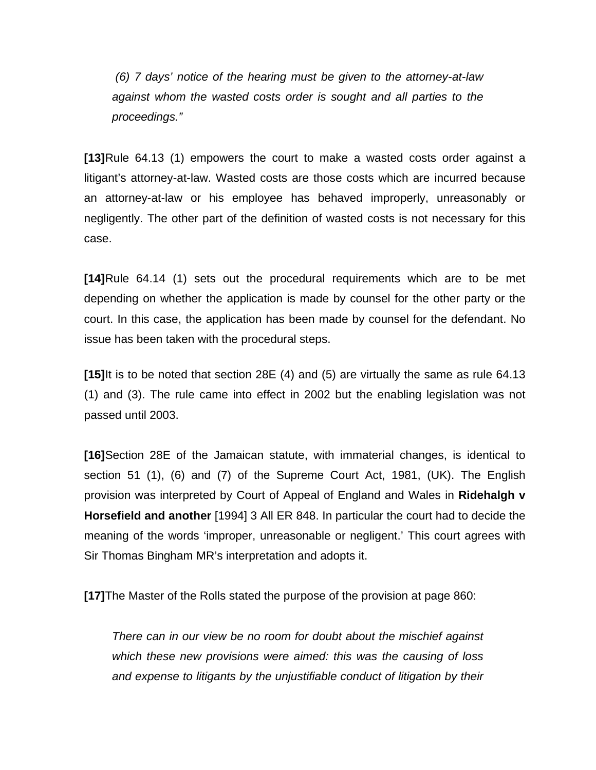*(6) 7 days' notice of the hearing must be given to the attorney-at-law against whom the wasted costs order is sought and all parties to the proceedings."*

**[13]**Rule 64.13 (1) empowers the court to make a wasted costs order against a litigant's attorney-at-law. Wasted costs are those costs which are incurred because an attorney-at-law or his employee has behaved improperly, unreasonably or negligently. The other part of the definition of wasted costs is not necessary for this case.

**[14]**Rule 64.14 (1) sets out the procedural requirements which are to be met depending on whether the application is made by counsel for the other party or the court. In this case, the application has been made by counsel for the defendant. No issue has been taken with the procedural steps.

**[15]**It is to be noted that section 28E (4) and (5) are virtually the same as rule 64.13 (1) and (3). The rule came into effect in 2002 but the enabling legislation was not passed until 2003.

**[16]**Section 28E of the Jamaican statute, with immaterial changes, is identical to section 51 (1), (6) and (7) of the Supreme Court Act, 1981, (UK). The English provision was interpreted by Court of Appeal of England and Wales in **Ridehalgh v Horsefield and another** [1994] 3 All ER 848. In particular the court had to decide the meaning of the words 'improper, unreasonable or negligent.' This court agrees with Sir Thomas Bingham MR's interpretation and adopts it.

**[17]**The Master of the Rolls stated the purpose of the provision at page 860:

*There can in our view be no room for doubt about the mischief against which these new provisions were aimed: this was the causing of loss and expense to litigants by the unjustifiable conduct of litigation by their*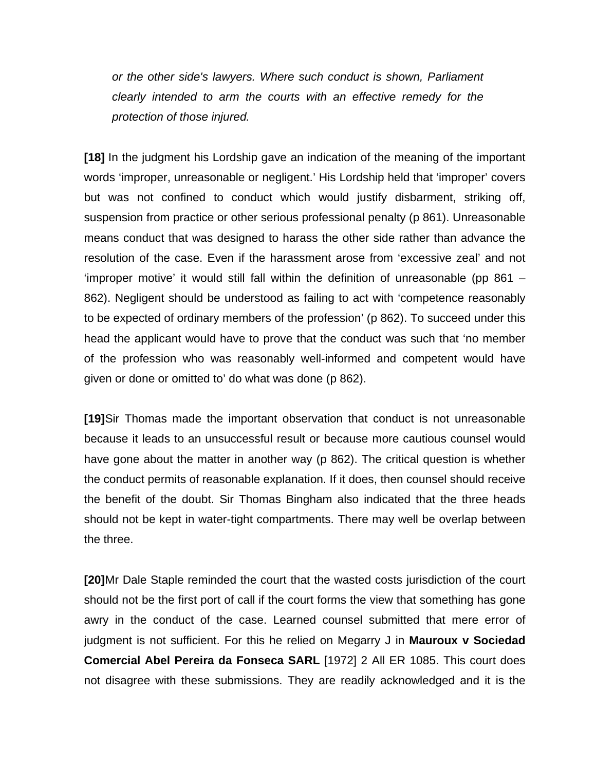*or the other side's lawyers. Where such conduct is shown, Parliament clearly intended to arm the courts with an effective remedy for the protection of those injured.*

**[18]** In the judgment his Lordship gave an indication of the meaning of the important words 'improper, unreasonable or negligent.' His Lordship held that 'improper' covers but was not confined to conduct which would justify disbarment, striking off, suspension from practice or other serious professional penalty (p 861). Unreasonable means conduct that was designed to harass the other side rather than advance the resolution of the case. Even if the harassment arose from 'excessive zeal' and not 'improper motive' it would still fall within the definition of unreasonable (pp 861 – 862). Negligent should be understood as failing to act with 'competence reasonably to be expected of ordinary members of the profession' (p 862). To succeed under this head the applicant would have to prove that the conduct was such that 'no member of the profession who was reasonably well-informed and competent would have given or done or omitted to' do what was done (p 862).

**[19]**Sir Thomas made the important observation that conduct is not unreasonable because it leads to an unsuccessful result or because more cautious counsel would have gone about the matter in another way (p 862). The critical question is whether the conduct permits of reasonable explanation. If it does, then counsel should receive the benefit of the doubt. Sir Thomas Bingham also indicated that the three heads should not be kept in water-tight compartments. There may well be overlap between the three.

**[20]**Mr Dale Staple reminded the court that the wasted costs jurisdiction of the court should not be the first port of call if the court forms the view that something has gone awry in the conduct of the case. Learned counsel submitted that mere error of judgment is not sufficient. For this he relied on Megarry J in **Mauroux v Sociedad Comercial Abel Pereira da Fonseca SARL** [1972] 2 All ER 1085. This court does not disagree with these submissions. They are readily acknowledged and it is the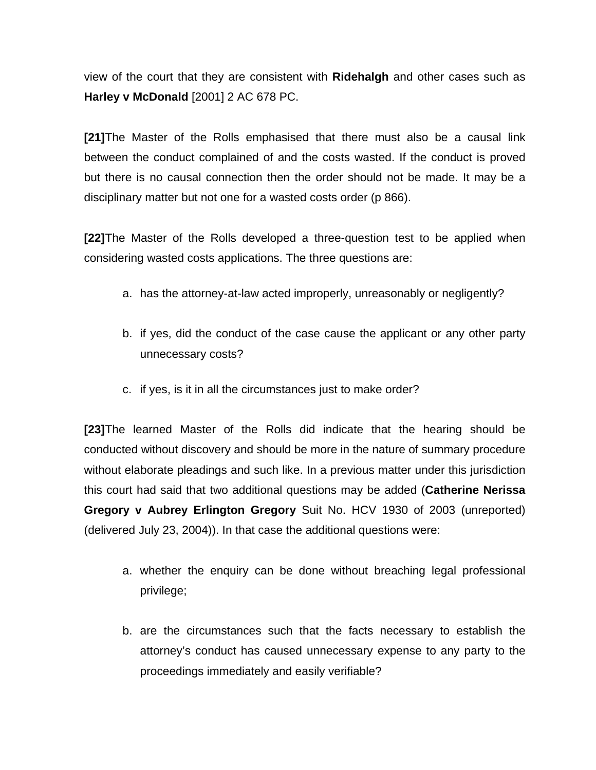view of the court that they are consistent with **Ridehalgh** and other cases such as **Harley v McDonald** [2001] 2 AC 678 PC.

**[21]**The Master of the Rolls emphasised that there must also be a causal link between the conduct complained of and the costs wasted. If the conduct is proved but there is no causal connection then the order should not be made. It may be a disciplinary matter but not one for a wasted costs order (p 866).

**[22]**The Master of the Rolls developed a three-question test to be applied when considering wasted costs applications. The three questions are:

- a. has the attorney-at-law acted improperly, unreasonably or negligently?
- b. if yes, did the conduct of the case cause the applicant or any other party unnecessary costs?
- c. if yes, is it in all the circumstances just to make order?

**[23]**The learned Master of the Rolls did indicate that the hearing should be conducted without discovery and should be more in the nature of summary procedure without elaborate pleadings and such like. In a previous matter under this jurisdiction this court had said that two additional questions may be added (**Catherine Nerissa Gregory v Aubrey Erlington Gregory** Suit No. HCV 1930 of 2003 (unreported) (delivered July 23, 2004)). In that case the additional questions were:

- a. whether the enquiry can be done without breaching legal professional privilege;
- b. are the circumstances such that the facts necessary to establish the attorney's conduct has caused unnecessary expense to any party to the proceedings immediately and easily verifiable?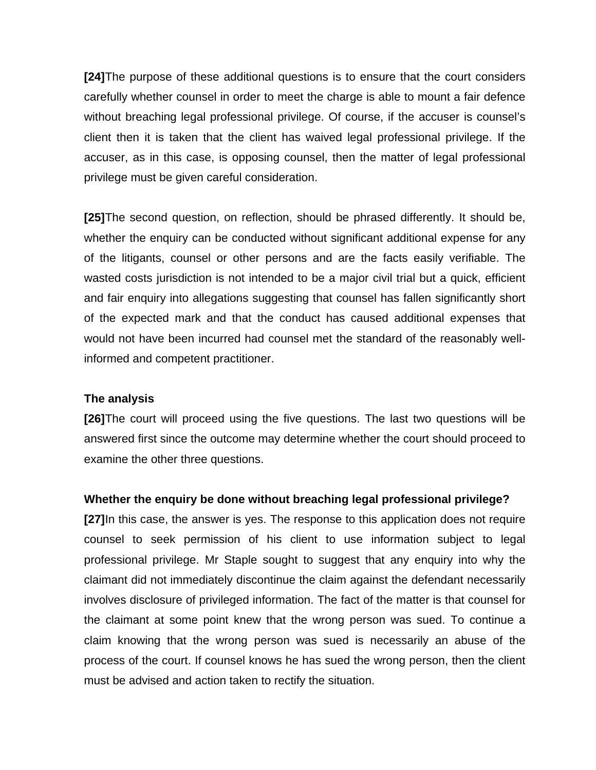**[24]**The purpose of these additional questions is to ensure that the court considers carefully whether counsel in order to meet the charge is able to mount a fair defence without breaching legal professional privilege. Of course, if the accuser is counsel's client then it is taken that the client has waived legal professional privilege. If the accuser, as in this case, is opposing counsel, then the matter of legal professional privilege must be given careful consideration.

**[25]**The second question, on reflection, should be phrased differently. It should be, whether the enquiry can be conducted without significant additional expense for any of the litigants, counsel or other persons and are the facts easily verifiable. The wasted costs jurisdiction is not intended to be a major civil trial but a quick, efficient and fair enquiry into allegations suggesting that counsel has fallen significantly short of the expected mark and that the conduct has caused additional expenses that would not have been incurred had counsel met the standard of the reasonably wellinformed and competent practitioner.

#### **The analysis**

**[26]**The court will proceed using the five questions. The last two questions will be answered first since the outcome may determine whether the court should proceed to examine the other three questions.

# **Whether the enquiry be done without breaching legal professional privilege?**

**[27]**In this case, the answer is yes. The response to this application does not require counsel to seek permission of his client to use information subject to legal professional privilege. Mr Staple sought to suggest that any enquiry into why the claimant did not immediately discontinue the claim against the defendant necessarily involves disclosure of privileged information. The fact of the matter is that counsel for the claimant at some point knew that the wrong person was sued. To continue a claim knowing that the wrong person was sued is necessarily an abuse of the process of the court. If counsel knows he has sued the wrong person, then the client must be advised and action taken to rectify the situation.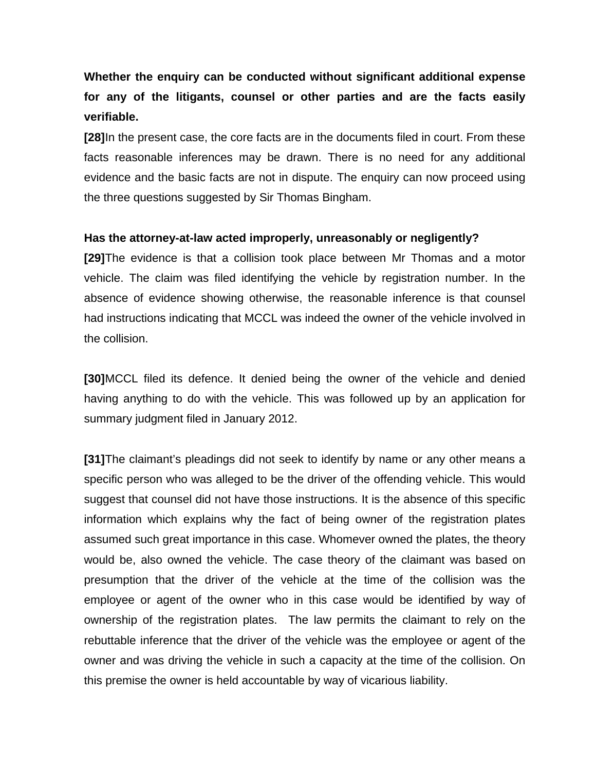**Whether the enquiry can be conducted without significant additional expense for any of the litigants, counsel or other parties and are the facts easily verifiable.** 

**[28]**In the present case, the core facts are in the documents filed in court. From these facts reasonable inferences may be drawn. There is no need for any additional evidence and the basic facts are not in dispute. The enquiry can now proceed using the three questions suggested by Sir Thomas Bingham.

# **Has the attorney-at-law acted improperly, unreasonably or negligently?**

**[29]**The evidence is that a collision took place between Mr Thomas and a motor vehicle. The claim was filed identifying the vehicle by registration number. In the absence of evidence showing otherwise, the reasonable inference is that counsel had instructions indicating that MCCL was indeed the owner of the vehicle involved in the collision.

**[30]**MCCL filed its defence. It denied being the owner of the vehicle and denied having anything to do with the vehicle. This was followed up by an application for summary judgment filed in January 2012.

**[31]**The claimant's pleadings did not seek to identify by name or any other means a specific person who was alleged to be the driver of the offending vehicle. This would suggest that counsel did not have those instructions. It is the absence of this specific information which explains why the fact of being owner of the registration plates assumed such great importance in this case. Whomever owned the plates, the theory would be, also owned the vehicle. The case theory of the claimant was based on presumption that the driver of the vehicle at the time of the collision was the employee or agent of the owner who in this case would be identified by way of ownership of the registration plates. The law permits the claimant to rely on the rebuttable inference that the driver of the vehicle was the employee or agent of the owner and was driving the vehicle in such a capacity at the time of the collision. On this premise the owner is held accountable by way of vicarious liability.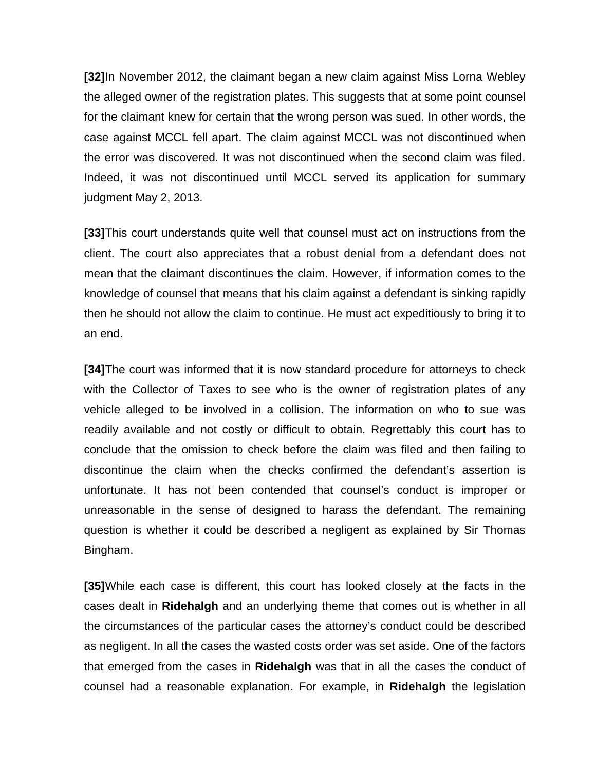**[32]**In November 2012, the claimant began a new claim against Miss Lorna Webley the alleged owner of the registration plates. This suggests that at some point counsel for the claimant knew for certain that the wrong person was sued. In other words, the case against MCCL fell apart. The claim against MCCL was not discontinued when the error was discovered. It was not discontinued when the second claim was filed. Indeed, it was not discontinued until MCCL served its application for summary judgment May 2, 2013.

**[33]**This court understands quite well that counsel must act on instructions from the client. The court also appreciates that a robust denial from a defendant does not mean that the claimant discontinues the claim. However, if information comes to the knowledge of counsel that means that his claim against a defendant is sinking rapidly then he should not allow the claim to continue. He must act expeditiously to bring it to an end.

**[34]**The court was informed that it is now standard procedure for attorneys to check with the Collector of Taxes to see who is the owner of registration plates of any vehicle alleged to be involved in a collision. The information on who to sue was readily available and not costly or difficult to obtain. Regrettably this court has to conclude that the omission to check before the claim was filed and then failing to discontinue the claim when the checks confirmed the defendant's assertion is unfortunate. It has not been contended that counsel's conduct is improper or unreasonable in the sense of designed to harass the defendant. The remaining question is whether it could be described a negligent as explained by Sir Thomas Bingham.

**[35]**While each case is different, this court has looked closely at the facts in the cases dealt in **Ridehalgh** and an underlying theme that comes out is whether in all the circumstances of the particular cases the attorney's conduct could be described as negligent. In all the cases the wasted costs order was set aside. One of the factors that emerged from the cases in **Ridehalgh** was that in all the cases the conduct of counsel had a reasonable explanation. For example, in **Ridehalgh** the legislation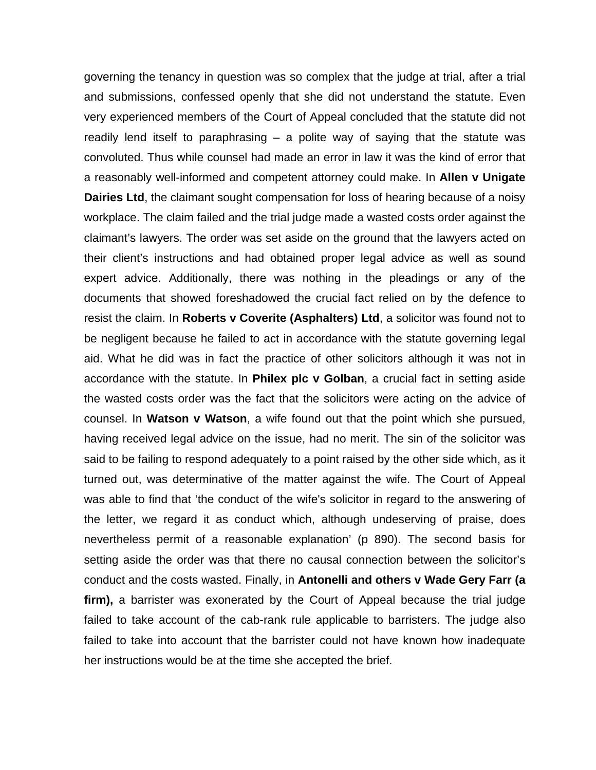governing the tenancy in question was so complex that the judge at trial, after a trial and submissions, confessed openly that she did not understand the statute. Even very experienced members of the Court of Appeal concluded that the statute did not readily lend itself to paraphrasing  $-$  a polite way of saying that the statute was convoluted. Thus while counsel had made an error in law it was the kind of error that a reasonably well-informed and competent attorney could make. In **Allen v Unigate Dairies Ltd**, the claimant sought compensation for loss of hearing because of a noisy workplace. The claim failed and the trial judge made a wasted costs order against the claimant's lawyers. The order was set aside on the ground that the lawyers acted on their client's instructions and had obtained proper legal advice as well as sound expert advice. Additionally, there was nothing in the pleadings or any of the documents that showed foreshadowed the crucial fact relied on by the defence to resist the claim. In **Roberts v Coverite (Asphalters) Ltd**, a solicitor was found not to be negligent because he failed to act in accordance with the statute governing legal aid. What he did was in fact the practice of other solicitors although it was not in accordance with the statute. In **Philex plc v Golban**, a crucial fact in setting aside the wasted costs order was the fact that the solicitors were acting on the advice of counsel. In **Watson v Watson**, a wife found out that the point which she pursued, having received legal advice on the issue, had no merit. The sin of the solicitor was said to be failing to respond adequately to a point raised by the other side which, as it turned out, was determinative of the matter against the wife. The Court of Appeal was able to find that 'the conduct of the wife's solicitor in regard to the answering of the letter, we regard it as conduct which, although undeserving of praise, does nevertheless permit of a reasonable explanation' (p 890). The second basis for setting aside the order was that there no causal connection between the solicitor's conduct and the costs wasted. Finally, in **Antonelli and others v Wade Gery Farr (a firm),** a barrister was exonerated by the Court of Appeal because the trial judge failed to take account of the cab-rank rule applicable to barristers. The judge also failed to take into account that the barrister could not have known how inadequate her instructions would be at the time she accepted the brief.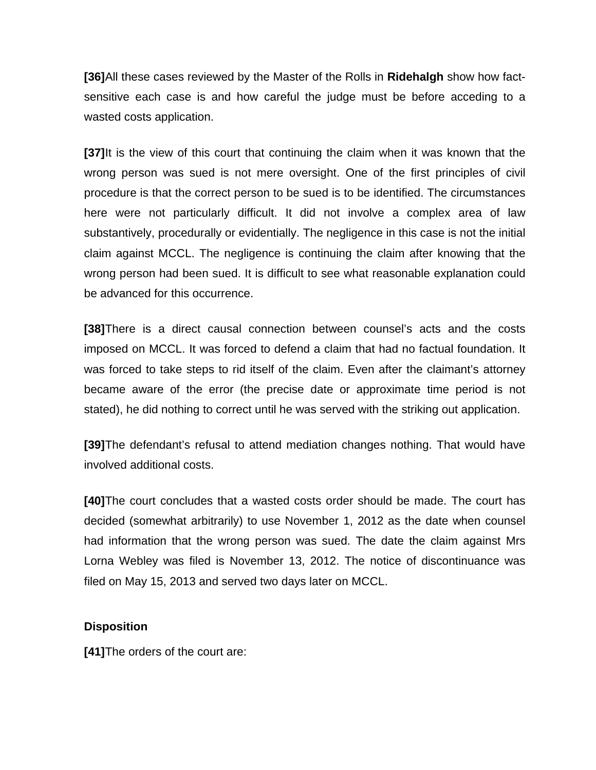**[36]**All these cases reviewed by the Master of the Rolls in **Ridehalgh** show how factsensitive each case is and how careful the judge must be before acceding to a wasted costs application.

**[37]**It is the view of this court that continuing the claim when it was known that the wrong person was sued is not mere oversight. One of the first principles of civil procedure is that the correct person to be sued is to be identified. The circumstances here were not particularly difficult. It did not involve a complex area of law substantively, procedurally or evidentially. The negligence in this case is not the initial claim against MCCL. The negligence is continuing the claim after knowing that the wrong person had been sued. It is difficult to see what reasonable explanation could be advanced for this occurrence.

**[38]**There is a direct causal connection between counsel's acts and the costs imposed on MCCL. It was forced to defend a claim that had no factual foundation. It was forced to take steps to rid itself of the claim. Even after the claimant's attorney became aware of the error (the precise date or approximate time period is not stated), he did nothing to correct until he was served with the striking out application.

**[39]**The defendant's refusal to attend mediation changes nothing. That would have involved additional costs.

**[40]**The court concludes that a wasted costs order should be made. The court has decided (somewhat arbitrarily) to use November 1, 2012 as the date when counsel had information that the wrong person was sued. The date the claim against Mrs Lorna Webley was filed is November 13, 2012. The notice of discontinuance was filed on May 15, 2013 and served two days later on MCCL.

# **Disposition**

**[41]**The orders of the court are: